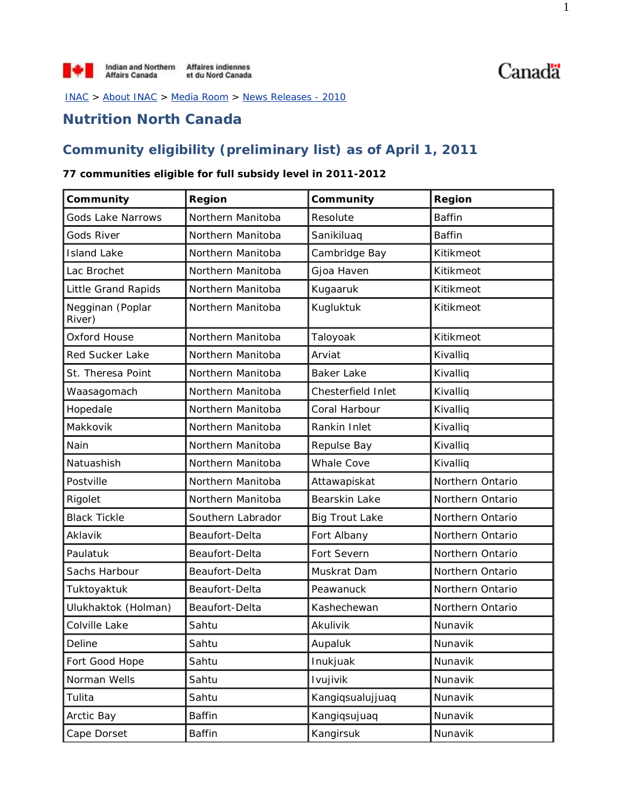INAC > About INAC > Media Room > News Releases - 2010

### **Nutrition North Canada**

### **Community eligibility (preliminary list) as of April 1, 2011**

#### **77 communities eligible for full subsidy level in 2011-2012**

| Community                  | Region            | Community             | Region           |
|----------------------------|-------------------|-----------------------|------------------|
| <b>Gods Lake Narrows</b>   | Northern Manitoba | Resolute              | <b>Baffin</b>    |
| Gods River                 | Northern Manitoba | Sanikiluaq            | <b>Baffin</b>    |
| <b>Island Lake</b>         | Northern Manitoba | Cambridge Bay         | Kitikmeot        |
| Lac Brochet                | Northern Manitoba | Gjoa Haven            | Kitikmeot        |
| Little Grand Rapids        | Northern Manitoba | Kugaaruk              | Kitikmeot        |
| Negginan (Poplar<br>River) | Northern Manitoba | Kugluktuk             | Kitikmeot        |
| Oxford House               | Northern Manitoba | Taloyoak              | Kitikmeot        |
| Red Sucker Lake            | Northern Manitoba | Arviat                | Kivalliq         |
| St. Theresa Point          | Northern Manitoba | <b>Baker Lake</b>     | Kivalliq         |
| Waasagomach                | Northern Manitoba | Chesterfield Inlet    | Kivalliq         |
| Hopedale                   | Northern Manitoba | Coral Harbour         | Kivalliq         |
| Makkovik                   | Northern Manitoba | Rankin Inlet          | Kivalliq         |
| Nain                       | Northern Manitoba | Repulse Bay           | Kivalliq         |
| Natuashish                 | Northern Manitoba | <b>Whale Cove</b>     | Kivalliq         |
| Postville                  | Northern Manitoba | Attawapiskat          | Northern Ontario |
| Rigolet                    | Northern Manitoba | Bearskin Lake         | Northern Ontario |
| <b>Black Tickle</b>        | Southern Labrador | <b>Big Trout Lake</b> | Northern Ontario |
| Aklavik                    | Beaufort-Delta    | Fort Albany           | Northern Ontario |
| Paulatuk                   | Beaufort-Delta    | Fort Severn           | Northern Ontario |
| Sachs Harbour              | Beaufort-Delta    | Muskrat Dam           | Northern Ontario |
| Tuktoyaktuk                | Beaufort-Delta    | Peawanuck             | Northern Ontario |
| Ulukhaktok (Holman)        | Beaufort-Delta    | Kashechewan           | Northern Ontario |
| Colville Lake              | Sahtu             | Akulivik              | Nunavik          |
| Deline                     | Sahtu             | Aupaluk               | Nunavik          |
| Fort Good Hope             | Sahtu             | Inukjuak              | Nunavik          |
| Norman Wells               | Sahtu             | Ivujivik              | Nunavik          |
| Tulita                     | Sahtu             | Kangiqsualujjuaq      | Nunavik          |
| Arctic Bay                 | <b>Baffin</b>     | Kangiqsujuaq          | Nunavik          |
| Cape Dorset                | <b>Baffin</b>     | Kangirsuk             | Nunavik          |

Canadä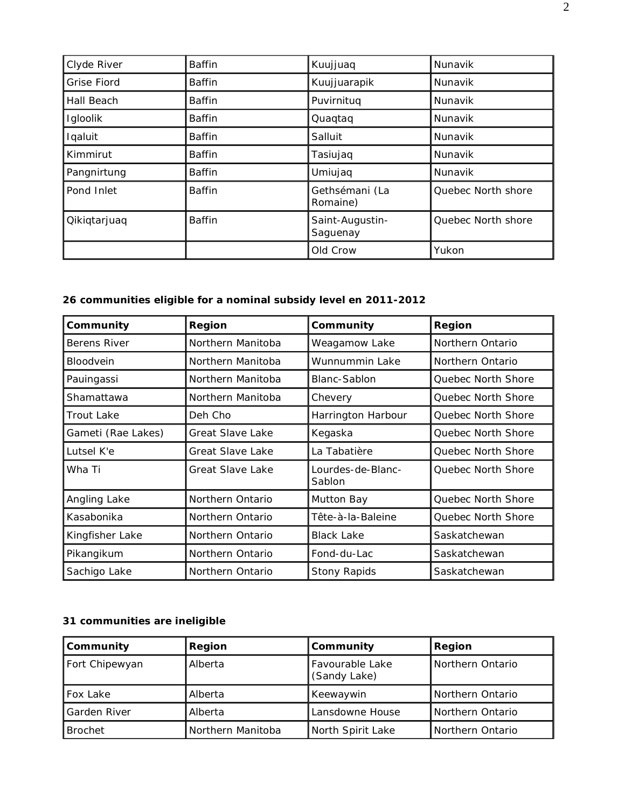| Clyde River        | <b>Baffin</b> | Kuujjuaq                    | Nunavik            |
|--------------------|---------------|-----------------------------|--------------------|
| <b>Grise Fiord</b> | <b>Baffin</b> | Kuujjuarapik                | Nunavik            |
| Hall Beach         | Baffin        | Puvirnitug                  | Nunavik            |
| Igloolik           | Baffin        | Quaqtaq                     | Nunavik            |
| Iqaluit            | <b>Baffin</b> | Salluit                     | Nunavik            |
| Kimmirut           | <b>Baffin</b> | Tasiujaq                    | Nunavik            |
| Pangnirtung        | Baffin        | Umiujaq                     | Nunavik            |
| Pond Inlet         | Baffin        | Gethsémani (La<br>Romaine)  | Quebec North shore |
| Qikiqtarjuaq       | Baffin        | Saint-Augustin-<br>Saguenay | Quebec North shore |
|                    |               | Old Crow                    | Yukon              |

# **26 communities eligible for a nominal subsidy level en 2011-2012**

| Community          | Region                  | Community                   | Region                    |
|--------------------|-------------------------|-----------------------------|---------------------------|
| Berens River       | Northern Manitoba       | Weagamow Lake               | Northern Ontario          |
| <b>Bloodvein</b>   | Northern Manitoba       | Wunnummin Lake              | Northern Ontario          |
| Pauingassi         | Northern Manitoba       | Blanc-Sablon                | Quebec North Shore        |
| Shamattawa         | Northern Manitoba       | Chevery                     | Quebec North Shore        |
| <b>Trout Lake</b>  | Deh Cho                 | Harrington Harbour          | Quebec North Shore        |
| Gameti (Rae Lakes) | <b>Great Slave Lake</b> | Kegaska                     | <b>Ouebec North Shore</b> |
| Lutsel K'e         | <b>Great Slave Lake</b> | La Tabatière                | Quebec North Shore        |
| Wha Ti             | Great Slave Lake        | Lourdes-de-Blanc-<br>Sablon | Quebec North Shore        |
| Angling Lake       | Northern Ontario        | Mutton Bay                  | Quebec North Shore        |
| Kasabonika         | Northern Ontario        | Tête-à-la-Baleine           | Quebec North Shore        |
| Kingfisher Lake    | Northern Ontario        | <b>Black Lake</b>           | Saskatchewan              |
| Pikangikum         | Northern Ontario        | Fond-du-Lac                 | Saskatchewan              |
| Sachigo Lake       | Northern Ontario        | <b>Stony Rapids</b>         | Saskatchewan              |

# **31 communities are ineligible**

| <b>Community</b> | <b>Region</b>     | Community                       | Region           |
|------------------|-------------------|---------------------------------|------------------|
| Fort Chipewyan   | Alberta           | Favourable Lake<br>(Sandy Lake) | Northern Ontario |
| <b>Fox Lake</b>  | Alberta           | Keewaywin                       | Northern Ontario |
| Garden River     | Alberta           | Lansdowne House                 | Northern Ontario |
| <b>Brochet</b>   | Northern Manitoba | North Spirit Lake               | Northern Ontario |